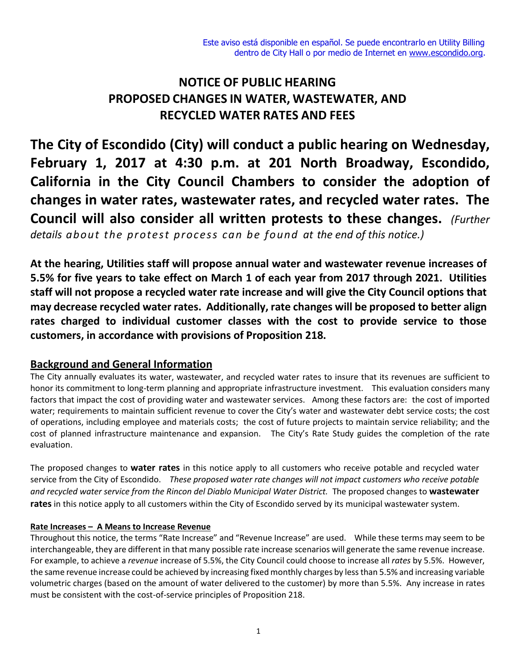# **NOTICE OF PUBLIC HEARING PROPOSED CHANGES IN WATER, WASTEWATER, AND RECYCLED WATER RATES AND FEES**

**The City of Escondido (City) will conduct a public hearing on Wednesday, February 1, 2017 at 4:30 p.m. at 201 North Broadway, Escondido, California in the City Council Chambers to consider the adoption of changes in water rates, wastewater rates, and recycled water rates. The Council will also consider all written protests to these changes.** *(Further details about the protest process can be found at the end of this notice.)*

**At the hearing, Utilities staff will propose annual water and wastewater revenue increases of 5.5% for five years to take effect on March 1 of each year from 2017 through 2021. Utilities staff will not propose a recycled water rate increase and will give the City Council options that may decrease recycled water rates. Additionally, rate changes will be proposed to better align rates charged to individual customer classes with the cost to provide service to those customers, in accordance with provisions of Proposition 218.**

# **Background and General Information**

The City annually evaluates its water, wastewater, and recycled water rates to insure that its revenues are sufficient to honor its commitment to long-term planning and appropriate infrastructure investment. This evaluation considers many factors that impact the cost of providing water and wastewater services. Among these factors are: the cost of imported water; requirements to maintain sufficient revenue to cover the City's water and wastewater debt service costs; the cost of operations, including employee and materials costs; the cost of future projects to maintain service reliability; and the cost of planned infrastructure maintenance and expansion. The City's Rate Study guides the completion of the rate evaluation.

The proposed changes to **water rates** in this notice apply to all customers who receive potable and recycled water service from the City of Escondido. *These proposed water rate changes will not impact customers who receive potable and recycled water service from the Rincon del Diablo Municipal Water District.* The proposed changes to **wastewater rates** in this notice apply to all customers within the City of Escondido served by its municipal wastewater system.

#### **Rate Increases – A Means to Increase Revenue**

Throughout this notice, the terms "Rate Increase" and "Revenue Increase" are used. While these terms may seem to be interchangeable, they are different in that many possible rate increase scenarios will generate the same revenue increase. For example, to achieve a *revenue* increase of 5.5%, the City Council could choose to increase all *rates* by 5.5%. However, the same revenue increase could be achieved by increasing fixed monthly charges by less than 5.5% and increasing variable volumetric charges (based on the amount of water delivered to the customer) by more than 5.5%. Any increase in rates must be consistent with the cost-of-service principles of Proposition 218.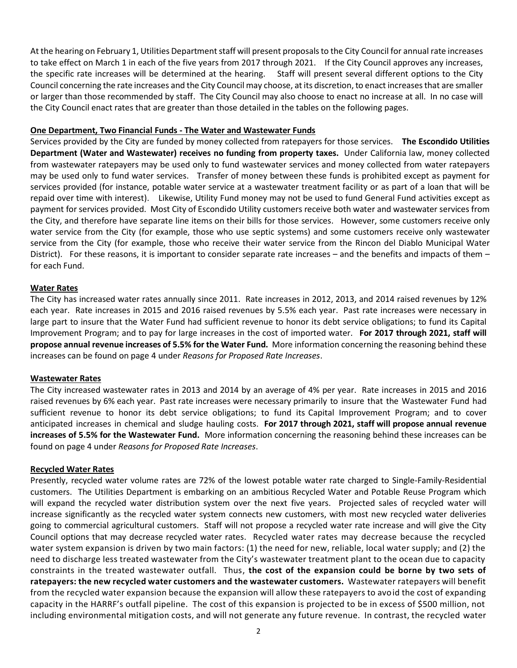At the hearing on February 1, Utilities Department staff will present proposals to the City Council for annual rate increases to take effect on March 1 in each of the five years from 2017 through 2021. If the City Council approves any increases, the specific rate increases will be determined at the hearing. Staff will present several different options to the City Council concerning the rate increases and the City Council may choose, at its discretion, to enact increasesthat are smaller or larger than those recommended by staff. The City Council may also choose to enact no increase at all. In no case will the City Council enact rates that are greater than those detailed in the tables on the following pages.

#### **One Department, Two Financial Funds - The Water and Wastewater Funds**

Services provided by the City are funded by money collected from ratepayers for those services. **The Escondido Utilities Department (Water and Wastewater) receives no funding from property taxes.** Under California law, money collected from wastewater ratepayers may be used only to fund wastewater services and money collected from water ratepayers may be used only to fund water services. Transfer of money between these funds is prohibited except as payment for services provided (for instance, potable water service at a wastewater treatment facility or as part of a loan that will be repaid over time with interest). Likewise, Utility Fund money may not be used to fund General Fund activities except as payment for services provided. Most City of Escondido Utility customers receive both water and wastewater services from the City, and therefore have separate line items on their bills for those services. However, some customers receive only water service from the City (for example, those who use septic systems) and some customers receive only wastewater service from the City (for example, those who receive their water service from the Rincon del Diablo Municipal Water District). For these reasons, it is important to consider separate rate increases – and the benefits and impacts of them – for each Fund.

#### **Water Rates**

The City has increased water rates annually since 2011. Rate increases in 2012, 2013, and 2014 raised revenues by 12% each year. Rate increases in 2015 and 2016 raised revenues by 5.5% each year. Past rate increases were necessary in large part to insure that the Water Fund had sufficient revenue to honor its debt service obligations; to fund its Capital Improvement Program; and to pay for large increases in the cost of imported water. **For 2017 through 2021, staff will propose annual revenue increases of 5.5% for the Water Fund.** More information concerning the reasoning behind these increases can be found on page 4 under *Reasons for Proposed Rate Increases*.

#### **Wastewater Rates**

The City increased wastewater rates in 2013 and 2014 by an average of 4% per year. Rate increases in 2015 and 2016 raised revenues by 6% each year. Past rate increases were necessary primarily to insure that the Wastewater Fund had sufficient revenue to honor its debt service obligations; to fund its Capital Improvement Program; and to cover anticipated increases in chemical and sludge hauling costs. **For 2017 through 2021, staff will propose annual revenue increases of 5.5% for the Wastewater Fund.** More information concerning the reasoning behind these increases can be found on page 4 under *Reasons for Proposed Rate Increases*.

#### **Recycled Water Rates**

Presently, recycled water volume rates are 72% of the lowest potable water rate charged to Single-Family-Residential customers. The Utilities Department is embarking on an ambitious Recycled Water and Potable Reuse Program which will expand the recycled water distribution system over the next five years. Projected sales of recycled water will increase significantly as the recycled water system connects new customers, with most new recycled water deliveries going to commercial agricultural customers. Staff will not propose a recycled water rate increase and will give the City Council options that may decrease recycled water rates. Recycled water rates may decrease because the recycled water system expansion is driven by two main factors: (1) the need for new, reliable, local water supply; and (2) the need to discharge less treated wastewater from the City's wastewater treatment plant to the ocean due to capacity constraints in the treated wastewater outfall. Thus, **the cost of the expansion could be borne by two sets of ratepayers: the new recycled water customers and the wastewater customers.** Wastewater ratepayers will benefit from the recycled water expansion because the expansion will allow these ratepayers to avoid the cost of expanding capacity in the HARRF's outfall pipeline. The cost of this expansion is projected to be in excess of \$500 million, not including environmental mitigation costs, and will not generate any future revenue. In contrast, the recycled water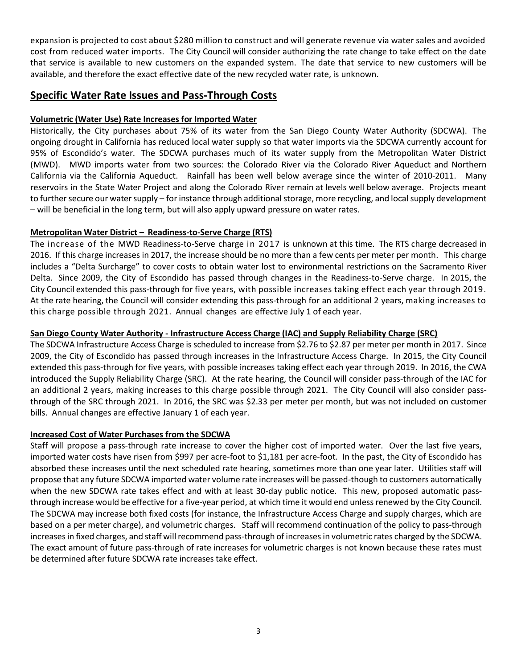expansion is projected to cost about \$280 million to construct and will generate revenue via water sales and avoided cost from reduced water imports. The City Council will consider authorizing the rate change to take effect on the date that service is available to new customers on the expanded system. The date that service to new customers will be available, and therefore the exact effective date of the new recycled water rate, is unknown.

## **Specific Water Rate Issues and Pass-Through Costs**

#### **Volumetric (Water Use) Rate Increases for Imported Water**

Historically, the City purchases about 75% of its water from the San Diego County Water Authority (SDCWA). The ongoing drought in California has reduced local water supply so that water imports via the SDCWA currently account for 95% of Escondido's water. The SDCWA purchases much of its water supply from the Metropolitan Water District (MWD). MWD imports water from two sources: the Colorado River via the Colorado River Aqueduct and Northern California via the California Aqueduct. Rainfall has been well below average since the winter of 2010-2011. Many reservoirs in the State Water Project and along the Colorado River remain at levels well below average. Projects meant to further secure our water supply – for instance through additional storage, more recycling, and local supply development – will be beneficial in the long term, but will also apply upward pressure on water rates.

#### **Metropolitan Water District – Readiness-to-Serve Charge (RTS)**

The increase of the MWD Readiness-to-Serve charge in 2017 is unknown at this time. The RTS charge decreased in 2016. If this charge increases in 2017, the increase should be no more than a few cents per meter per month. This charge includes a "Delta Surcharge" to cover costs to obtain water lost to environmental restrictions on the Sacramento River Delta. Since 2009, the City of Escondido has passed through changes in the Readiness-to-Serve charge. In 2015, the City Council extended this pass-through for five years, with possible increases taking effect each year through 2019. At the rate hearing, the Council will consider extending this pass-through for an additional 2 years, making increases to this charge possible through 2021. Annual changes are effective July 1 of each year.

#### **San Diego County Water Authority - Infrastructure Access Charge (IAC) and Supply Reliability Charge (SRC)**

The SDCWA Infrastructure Access Charge is scheduled to increase from \$2.76 to \$2.87 per meter per month in 2017. Since 2009, the City of Escondido has passed through increases in the Infrastructure Access Charge. In 2015, the City Council extended this pass-through for five years, with possible increases taking effect each year through 2019. In 2016, the CWA introduced the Supply Reliability Charge (SRC). At the rate hearing, the Council will consider pass-through of the IAC for an additional 2 years, making increases to this charge possible through 2021. The City Council will also consider passthrough of the SRC through 2021. In 2016, the SRC was \$2.33 per meter per month, but was not included on customer bills. Annual changes are effective January 1 of each year.

#### **Increased Cost of Water Purchases from the SDCWA**

Staff will propose a pass-through rate increase to cover the higher cost of imported water. Over the last five years, imported water costs have risen from \$997 per acre-foot to \$1,181 per acre-foot. In the past, the City of Escondido has absorbed these increases until the next scheduled rate hearing, sometimes more than one year later. Utilities staff will propose that any future SDCWA imported water volume rate increases will be passed-though to customers automatically when the new SDCWA rate takes effect and with at least 30-day public notice. This new, proposed automatic passthrough increase would be effective for a five-year period, at which time it would end unless renewed by the City Council. The SDCWA may increase both fixed costs (for instance, the Infrastructure Access Charge and supply charges, which are based on a per meter charge), and volumetric charges. Staff will recommend continuation of the policy to pass-through increases in fixed charges, and staff will recommend pass-through of increases in volumetric rates charged by the SDCWA. The exact amount of future pass-through of rate increases for volumetric charges is not known because these rates must be determined after future SDCWA rate increases take effect.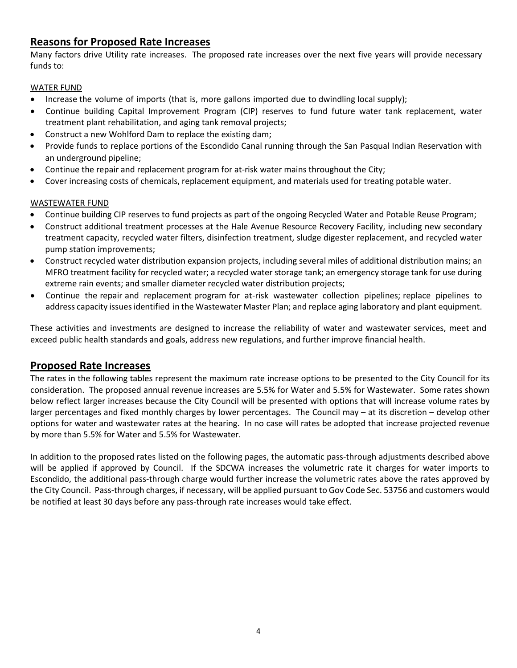# **Reasons for Proposed Rate Increases**

Many factors drive Utility rate increases. The proposed rate increases over the next five years will provide necessary funds to:

### WATER FUND

- Increase the volume of imports (that is, more gallons imported due to dwindling local supply);
- Continue building Capital Improvement Program (CIP) reserves to fund future water tank replacement, water treatment plant rehabilitation, and aging tank removal projects;
- Construct a new Wohlford Dam to replace the existing dam;
- Provide funds to replace portions of the Escondido Canal running through the San Pasqual Indian Reservation with an underground pipeline;
- Continue the repair and replacement program for at-risk water mains throughout the City;
- Cover increasing costs of chemicals, replacement equipment, and materials used for treating potable water.

## WASTEWATER FUND

- Continue building CIP reserves to fund projects as part of the ongoing Recycled Water and Potable Reuse Program;
- Construct additional treatment processes at the Hale Avenue Resource Recovery Facility, including new secondary treatment capacity, recycled water filters, disinfection treatment, sludge digester replacement, and recycled water pump station improvements;
- Construct recycled water distribution expansion projects, including several miles of additional distribution mains; an MFRO treatment facility for recycled water; a recycled water storage tank; an emergency storage tank for use during extreme rain events; and smaller diameter recycled water distribution projects;
- Continue the repair and replacement program for at-risk wastewater collection pipelines; replace pipelines to address capacity issues identified in the Wastewater Master Plan; and replace aging laboratory and plant equipment.

These activities and investments are designed to increase the reliability of water and wastewater services, meet and exceed public health standards and goals, address new regulations, and further improve financial health.

# **Proposed Rate Increases**

The rates in the following tables represent the maximum rate increase options to be presented to the City Council for its consideration. The proposed annual revenue increases are 5.5% for Water and 5.5% for Wastewater. Some rates shown below reflect larger increases because the City Council will be presented with options that will increase volume rates by larger percentages and fixed monthly charges by lower percentages. The Council may – at its discretion – develop other options for water and wastewater rates at the hearing. In no case will rates be adopted that increase projected revenue by more than 5.5% for Water and 5.5% for Wastewater.

In addition to the proposed rates listed on the following pages, the automatic pass-through adjustments described above will be applied if approved by Council. If the SDCWA increases the volumetric rate it charges for water imports to Escondido, the additional pass-through charge would further increase the volumetric rates above the rates approved by the City Council. Pass-through charges, if necessary, will be applied pursuant to Gov Code Sec. 53756 and customers would be notified at least 30 days before any pass-through rate increases would take effect.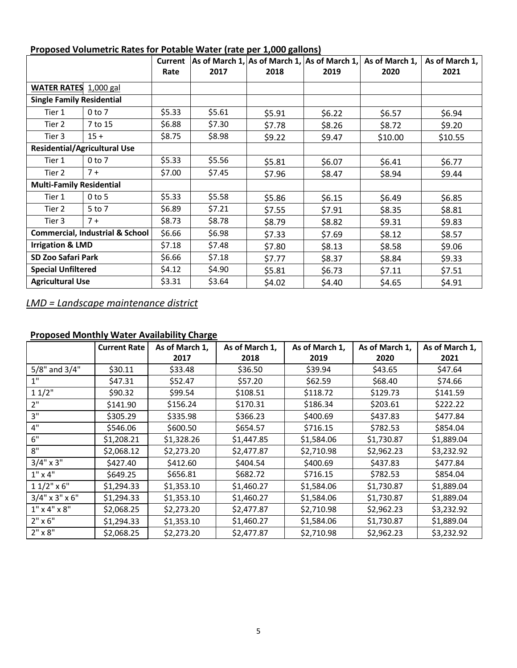| <u><b>Hoposed Forametric nates for Fotable frater plate per 2,000 ganons;</b></u> |            |        | Current $ As$ of March 1, As of March 1, As of March 1, |        |        | As of March 1, | As of March 1, |
|-----------------------------------------------------------------------------------|------------|--------|---------------------------------------------------------|--------|--------|----------------|----------------|
|                                                                                   |            | Rate   | 2017                                                    | 2018   | 2019   | 2020           | 2021           |
| WATER RATES 1,000 gal                                                             |            |        |                                                         |        |        |                |                |
| <b>Single Family Residential</b>                                                  |            |        |                                                         |        |        |                |                |
| Tier 1                                                                            | $0$ to $7$ | \$5.33 | \$5.61                                                  | \$5.91 | \$6.22 | \$6.57         | \$6.94         |
| Tier 2                                                                            | 7 to 15    | \$6.88 | \$7.30                                                  | \$7.78 | \$8.26 | \$8.72         | \$9.20         |
| Tier 3                                                                            | $15 +$     | \$8.75 | \$8.98                                                  | \$9.22 | \$9.47 | \$10.00        | \$10.55        |
| <b>Residential/Agricultural Use</b>                                               |            |        |                                                         |        |        |                |                |
| Tier 1                                                                            | $0$ to $7$ | \$5.33 | \$5.56                                                  | \$5.81 | \$6.07 | \$6.41         | \$6.77         |
| Tier 2                                                                            | $7 +$      | \$7.00 | \$7.45                                                  | \$7.96 | \$8.47 | \$8.94         | \$9.44         |
| <b>Multi-Family Residential</b>                                                   |            |        |                                                         |        |        |                |                |
| Tier 1                                                                            | $0$ to 5   | \$5.33 | \$5.58                                                  | \$5.86 | \$6.15 | \$6.49         | \$6.85         |
| Tier 2                                                                            | 5 to 7     | \$6.89 | \$7.21                                                  | \$7.55 | \$7.91 | \$8.35         | \$8.81         |
| Tier 3                                                                            | $7+$       | \$8.73 | \$8.78                                                  | \$8.79 | \$8.82 | \$9.31         | \$9.83         |
| <b>Commercial, Industrial &amp; School</b>                                        |            | \$6.66 | \$6.98                                                  | \$7.33 | \$7.69 | \$8.12         | \$8.57         |
| <b>Irrigation &amp; LMD</b>                                                       |            | \$7.18 | \$7.48                                                  | \$7.80 | \$8.13 | \$8.58         | \$9.06         |
| <b>SD Zoo Safari Park</b>                                                         |            | \$6.66 | \$7.18                                                  | \$7.77 | \$8.37 | \$8.84         | \$9.33         |
| <b>Special Unfiltered</b>                                                         |            | \$4.12 | \$4.90                                                  | \$5.81 | \$6.73 | \$7.11         | \$7.51         |
| <b>Agricultural Use</b>                                                           |            | \$3.31 | \$3.64                                                  | \$4.02 | \$4.40 | \$4.65         | \$4.91         |

## **Proposed Volumetric Rates for Potable Water (rate per 1,000 gallons)**

*LMD = Landscape maintenance district*

# **Proposed Monthly Water Availability Charge**

|                         | <b>Current Rate</b> | As of March 1, | As of March 1, | As of March 1, | As of March 1, | As of March 1, |
|-------------------------|---------------------|----------------|----------------|----------------|----------------|----------------|
|                         |                     | 2017           | 2018           | 2019           | 2020           | 2021           |
| 5/8" and 3/4"           | \$30.11             | \$33.48        | \$36.50        | \$39.94        | \$43.65        | \$47.64        |
| 1"                      | \$47.31             | \$52.47        | \$57.20        | \$62.59        | \$68.40        | \$74.66        |
| 11/2"                   | \$90.32             | \$99.54        | \$108.51       | \$118.72       | \$129.73       | \$141.59       |
| 2"                      | \$141.90            | \$156.24       | \$170.31       | \$186.34       | \$203.61       | \$222.22       |
| 3"                      | \$305.29            | \$335.98       | \$366.23       | \$400.69       | \$437.83       | \$477.84       |
| 4"                      | \$546.06            | \$600.50       | \$654.57       | \$716.15       | \$782.53       | \$854.04       |
| 6"                      | \$1,208.21          | \$1,328.26     | \$1,447.85     | \$1,584.06     | \$1,730.87     | \$1,889.04     |
| 8"                      | \$2,068.12          | \$2,273.20     | \$2,477.87     | \$2,710.98     | \$2,962.23     | \$3,232.92     |
| $3/4" \times 3"$        | \$427.40            | \$412.60       | \$404.54       | \$400.69       | \$437.83       | \$477.84       |
| $1''$ x 4"              | \$649.25            | \$656.81       | \$682.72       | \$716.15       | \$782.53       | \$854.04       |
| $11/2$ " x 6"           | \$1,294.33          | \$1,353.10     | \$1,460.27     | \$1,584.06     | \$1,730.87     | \$1,889.04     |
| $3/4$ " x $3$ " x $6$ " | \$1,294.33          | \$1,353.10     | \$1,460.27     | \$1,584.06     | \$1,730.87     | \$1,889.04     |
| $1''$ x 4" x 8"         | \$2,068.25          | \$2,273.20     | \$2,477.87     | \$2,710.98     | \$2,962.23     | \$3,232.92     |
| $2" \times 6"$          | \$1,294.33          | \$1,353.10     | \$1,460.27     | \$1,584.06     | \$1,730.87     | \$1,889.04     |
| $2" \times 8"$          | \$2,068.25          | \$2,273.20     | \$2,477.87     | \$2,710.98     | \$2,962.23     | \$3,232.92     |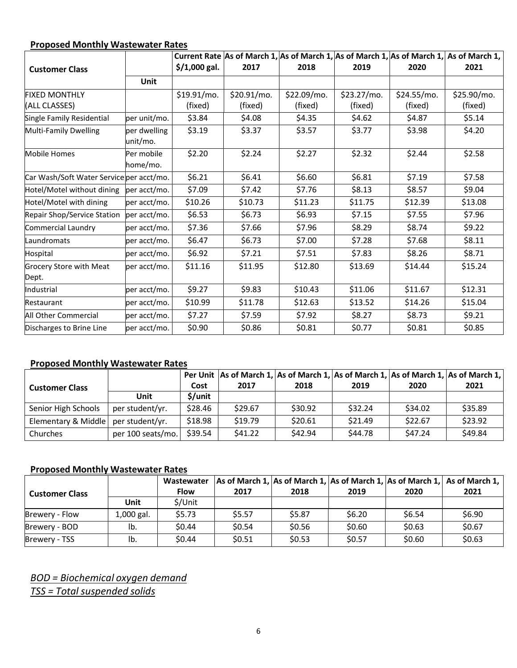# **Proposed Monthly Wastewater Rates**

|                                          |              |                |             |             |             |             | Current Rate As of March 1, As of March 1, As of March 1, As of March 1, As of March 1, |
|------------------------------------------|--------------|----------------|-------------|-------------|-------------|-------------|-----------------------------------------------------------------------------------------|
| <b>Customer Class</b>                    |              | $$/1,000$ gal. | 2017        | 2018        | 2019        | 2020        | 2021                                                                                    |
|                                          | Unit         |                |             |             |             |             |                                                                                         |
| <b>FIXED MONTHLY</b>                     |              | $$19.91/mol$ . | \$20.91/mo. | \$22.09/mo. | \$23.27/mo. | \$24.55/mo. | \$25.90/mo.                                                                             |
| (ALL CLASSES)                            |              | (fixed)        | (fixed)     | (fixed)     | (fixed)     | (fixed)     | (fixed)                                                                                 |
| Single Family Residential                | per unit/mo. | \$3.84         | \$4.08      | \$4.35      | \$4.62      | \$4.87      | \$5.14                                                                                  |
| Multi-Family Dwelling                    | per dwelling | \$3.19         | \$3.37      | \$3.57      | \$3.77      | \$3.98      | \$4.20                                                                                  |
|                                          | unit/mo.     |                |             |             |             |             |                                                                                         |
| <b>Mobile Homes</b>                      | Per mobile   | \$2.20         | \$2.24      | \$2.27      | \$2.32      | \$2.44      | \$2.58                                                                                  |
|                                          | home/mo.     |                |             |             |             |             |                                                                                         |
| Car Wash/Soft Water Service per acct/mo. |              | \$6.21         | \$6.41      | \$6.60      | \$6.81      | \$7.19      | \$7.58                                                                                  |
| Hotel/Motel without dining               | per acct/mo. | \$7.09         | \$7.42      | \$7.76      | \$8.13      | \$8.57      | \$9.04                                                                                  |
| Hotel/Motel with dining                  | per acct/mo. | \$10.26        | \$10.73     | \$11.23     | \$11.75     | \$12.39     | \$13.08                                                                                 |
| Repair Shop/Service Station              | per acct/mo. | \$6.53         | \$6.73      | \$6.93      | \$7.15      | \$7.55      | \$7.96                                                                                  |
| Commercial Laundry                       | per acct/mo. | \$7.36         | \$7.66      | \$7.96      | \$8.29      | \$8.74      | \$9.22                                                                                  |
| Laundromats                              | per acct/mo. | \$6.47         | \$6.73      | \$7.00      | \$7.28      | \$7.68      | \$8.11                                                                                  |
| Hospital                                 | per acct/mo. | \$6.92         | \$7.21      | \$7.51      | \$7.83      | \$8.26      | \$8.71                                                                                  |
| Grocery Store with Meat                  | per acct/mo. | \$11.16        | \$11.95     | \$12.80     | \$13.69     | \$14.44     | \$15.24                                                                                 |
| Dept.                                    |              |                |             |             |             |             |                                                                                         |
| Industrial                               | per acct/mo. | \$9.27         | \$9.83      | \$10.43     | \$11.06     | \$11.67     | \$12.31                                                                                 |
| Restaurant                               | per acct/mo. | \$10.99        | \$11.78     | \$12.63     | \$13.52     | \$14.26     | \$15.04                                                                                 |
| All Other Commercial                     | per acct/mo. | \$7.27         | \$7.59      | \$7.92      | \$8.27      | \$8.73      | \$9.21                                                                                  |
| Discharges to Brine Line                 | per acct/mo. | \$0.90         | \$0.86      | \$0.81      | \$0.77      | \$0.81      | \$0.85                                                                                  |

# **Proposed Monthly Wastewater Rates**

| <b>Customer Class</b>                   | <b>Unit</b>       | Cost<br>\$/unit | 2017    | 2018    | 2019    | 2020    | Per Unit As of March 1, As of March 1, As of March 1, As of March 1, As of March 1,<br>2021 |
|-----------------------------------------|-------------------|-----------------|---------|---------|---------|---------|---------------------------------------------------------------------------------------------|
| Senior High Schools                     | per student/yr.   | \$28.46         | \$29.67 | \$30.92 | \$32.24 | \$34.02 | \$35.89                                                                                     |
| Elementary & Middle $ $ per student/yr. |                   | \$18.98         | \$19.79 | \$20.61 | \$21.49 | \$22.67 | \$23.92                                                                                     |
| Churches                                | per 100 seats/mo. | \$39.54         | \$41.22 | \$42.94 | \$44.78 | \$47.24 | \$49.84                                                                                     |

## **Proposed Monthly Wastewater Rates**

|                       |            | Wastewater  |        |        |        |        | As of March 1, As of March 1, As of March 1, As of March 1, As of March 1, |
|-----------------------|------------|-------------|--------|--------|--------|--------|----------------------------------------------------------------------------|
| <b>Customer Class</b> |            | <b>Flow</b> | 2017   | 2018   | 2019   | 2020   | 2021                                                                       |
|                       | Unit       | \$/Unit     |        |        |        |        |                                                                            |
| Brewery - Flow        | 1,000 gal. | \$5.73      | \$5.57 | \$5.87 | \$6.20 | \$6.54 | \$6.90                                                                     |
| Brewery - BOD         | lb.        | \$0.44      | \$0.54 | \$0.56 | \$0.60 | \$0.63 | \$0.67                                                                     |
| Brewery - TSS         | lb.        | \$0.44      | \$0.51 | \$0.53 | \$0.57 | \$0.60 | \$0.63                                                                     |

*BOD = Biochemical oxygen demand TSS = Total suspended solids*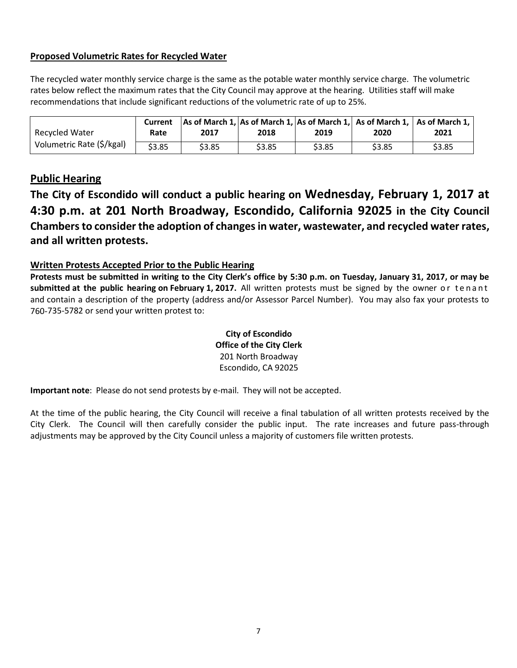## **Proposed Volumetric Rates for Recycled Water**

The recycled water monthly service charge is the same as the potable water monthly service charge. The volumetric rates below reflect the maximum rates that the City Council may approve at the hearing. Utilities staff will make recommendations that include significant reductions of the volumetric rate of up to 25%.

| Recycled Water            | Current<br>Rate | 2017   | 2018   | 2019   | 2020   | $\vert$ As of March 1, As of March 1, As of March 1, As of March 1, $\vert$ As of March 1, $\vert$<br>2021 |
|---------------------------|-----------------|--------|--------|--------|--------|------------------------------------------------------------------------------------------------------------|
| Volumetric Rate (\$/kgal) | \$3.85          | \$3.85 | \$3.85 | \$3.85 | \$3.85 | \$3.85                                                                                                     |

## **Public Hearing**

**The City of Escondido will conduct a public hearing on Wednesday, February 1, 2017 at 4:30 p.m. at 201 North Broadway, Escondido, California 92025 in the City Council Chambersto consider the adoption of changes in water, wastewater, and recycled water rates, and all written protests.**

## **Written Protests Accepted Prior to the Public Hearing**

Protests must be submitted in writing to the City Clerk's office by 5:30 p.m. on Tuesday, January 31, 2017, or may be **submitted at the public hearing on February 1, 2017.** All written protests must be signed by the owner or tenant and contain a description of the property (address and/or Assessor Parcel Number). You may also fax your protests to 760-735-5782 or send your written protest to:

#### **City of Escondido Office of the City Clerk** 201 North Broadway Escondido, CA 92025

**Important note**: Please do not send protests by e-mail. They will not be accepted.

At the time of the public hearing, the City Council will receive a final tabulation of all written protests received by the City Clerk. The Council will then carefully consider the public input. The rate increases and future pass-through adjustments may be approved by the City Council unless a majority of customers file written protests.